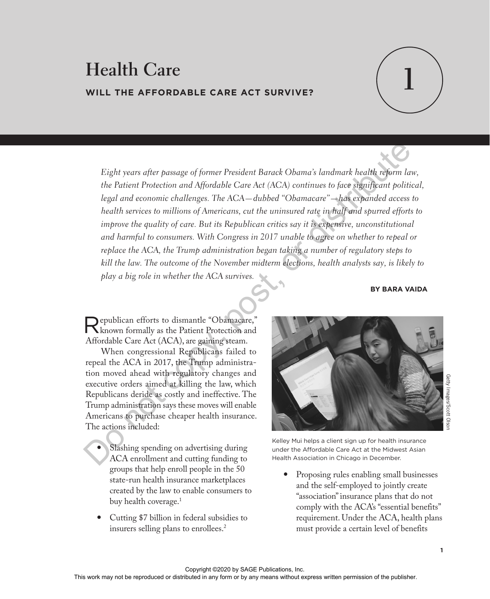# **1 Health Care WILL THE AFFORDABLE CARE ACT SURVIVE?**



*Eight years after passage of former President Barack Obama's landmark health reform law, the Patient Protection and Affordable Care Act (ACA) continues to face significant political, legal and economic challenges. The ACA—dubbed "Obamacare"—has expanded access to health services to millions of Americans, cut the uninsured rate in half and spurred efforts to improve the quality of care. But its Republican critics say it is expensive, unconstitutional and harmful to consumers. With Congress in 2017 unable to agree on whether to repeal or replace the ACA, the Trump administration began taking a number of regulatory steps to kill the law. The outcome of the November midterm elections, health analysts say, is likely to play a big role in whether the ACA survives.* Eight years after passage of former President Barack Obama's landmark health reform law,<br>the Patient Protection and Affordable Care Act (ACA) continues to face significant politica<br>legal and economic challenges. The ACA–d

#### **BY BARA VAIDA**

Republican efforts to dismantle "Obamacare," known formally as the Patient Protection and Affordable Care Act (ACA), are gaining steam.

When congressional Republicans failed to repeal the ACA in 2017, the Trump administration moved ahead with regulatory changes and executive orders aimed at killing the law, which Republicans deride as costly and ineffective. The Trump administration says these moves will enable Americans to purchase cheaper health insurance. The actions included:

- Slashing spending on advertising during ACA enrollment and cutting funding to groups that help enroll people in the 50 state-run health insurance marketplaces created by the law to enable consumers to buy health coverage.<sup>1</sup>
- Cutting \$7 billion in federal subsidies to insurers selling plans to enrollees.2



Kelley Mui helps a client sign up for health insurance under the Affordable Care Act at the Midwest Asian Health Association in Chicago in December.

 Proposing rules enabling small businesses and the self-employed to jointly create "association" insurance plans that do not comply with the ACA's "essential benefits" requirement. Under the ACA, health plans must provide a certain level of benefits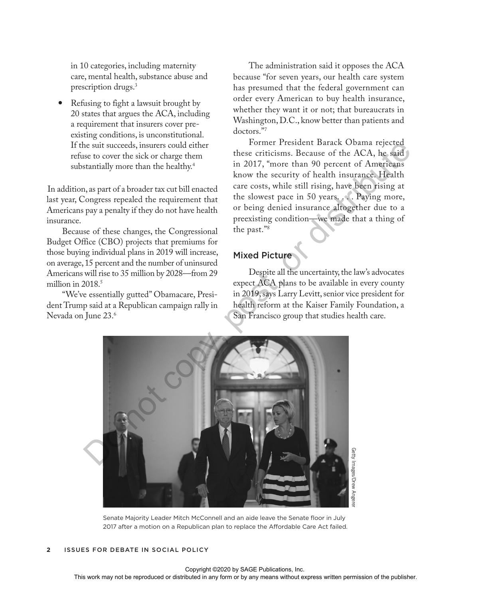in 10 categories, including maternity care, mental health, substance abuse and prescription drugs.3

 Refusing to fight a lawsuit brought by 20 states that argues the ACA, including a requirement that insurers cover preexisting conditions, is unconstitutional. If the suit succeeds, insurers could either refuse to cover the sick or charge them substantially more than the healthy.4

In addition, as part of a broader tax cut bill enacted last year, Congress repealed the requirement that Americans pay a penalty if they do not have health insurance.

Because of these changes, the Congressional Budget Office (CBO) projects that premiums for those buying individual plans in 2019 will increase, on average, 15 percent and the number of uninsured Americans will rise to 35 million by 2028—from 29 million in  $2018<sup>5</sup>$ 

"We've essentially gutted" Obamacare, President Trump said at a Republican campaign rally in Nevada on June 23.6

The administration said it opposes the ACA because "for seven years, our health care system has presumed that the federal government can order every American to buy health insurance, whether they want it or not; that bureaucrats in Washington, D.C., know better than patients and doctors."7

Former President Barack Obama rejected these criticisms. Because of the ACA, he said in 2017, "more than 90 percent of Americans know the security of health insurance. Health care costs, while still rising, have been rising at the slowest pace in 50 years. . . . Paying more, or being denied insurance altogether due to a preexisting condition—we made that a thing of the past."8

## Mixed Picture

Despite all the uncertainty, the law's advocates expect ACA plans to be available in every county in 2019, says Larry Levitt, senior vice president for health reform at the Kaiser Family Foundation, a San Francisco group that studies health care.



Senate Majority Leader Mitch McConnell and an aide leave the Senate floor in July 2017 after a motion on a Republican plan to replace the Affordable Care Act failed.

#### **2** ISSUES FOR DEBATE IN SOCIAL POLICY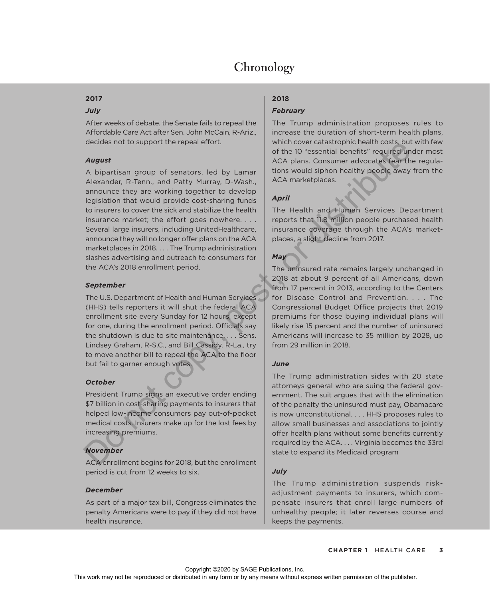## **Chronology**

## **2017**

#### *July*

After weeks of debate, the Senate fails to repeal the Affordable Care Act after Sen. John McCain, R-Ariz., decides not to support the repeal effort.

## *August*

A bipartisan group of senators, led by Lamar Alexander, R-Tenn., and Patty Murray, D-Wash., announce they are working together to develop legislation that would provide cost-sharing funds to insurers to cover the sick and stabilize the health insurance market: the effort goes nowhere. . . . Several large insurers, including UnitedHealthcare, announce they will no longer offer plans on the ACA marketplaces in 2018. . . . The Trump administration slashes advertising and outreach to consumers for the ACA's 2018 enrollment period. exerge throughout the repeated one of sometimes and the D<sup>o</sup> scenariop include the section of the DO scenario and Particular Cause CA algorities (are the the Mexican converte in the word of the present and Particular conve

#### *September*

The U.S. Department of Health and Human Services (HHS) tells reporters it will shut the federal ACA enrollment site every Sunday for 12 hours, except for one, during the enrollment period. Officials say the shutdown is due to site maintenance. . . . Sens. Lindsey Graham, R-S.C., and Bill Cassidy, R-La., try to move another bill to repeal the ACA to the floor but fail to garner enough votes.

## *October*

President Trump signs an executive order ending \$7 billion in cost-sharing payments to insurers that helped low-income consumers pay out-of-pocket medical costs. Insurers make up for the lost fees by increasing premiums.

## *November*

ACA enrollment begins for 2018, but the enrollment period is cut from 12 weeks to six.

## *December*

As part of a major tax bill, Congress eliminates the penalty Americans were to pay if they did not have health insurance.

## **2018**

## *February*

The Trump administration proposes rules to increase the duration of short-term health plans, which cover catastrophic health costs, but with few of the 10 "essential benefits" required under most ACA plans. Consumer advocates fear the regulations would siphon healthy people away from the ACA marketplaces.

## *April*

The Health and Human Services Department reports that 11.8 million people purchased health insurance coverage through the ACA's marketplaces, a slight decline from 2017.

## *May*

The uninsured rate remains largely unchanged in 2018 at about 9 percent of all Americans, down from 17 percent in 2013, according to the Centers for Disease Control and Prevention. . . . The Congressional Budget Office projects that 2019 premiums for those buying individual plans will likely rise 15 percent and the number of uninsured Americans will increase to 35 million by 2028, up from 29 million in 2018.

## *June*

The Trump administration sides with 20 state attorneys general who are suing the federal government. The suit argues that with the elimination of the penalty the uninsured must pay, Obamacare is now unconstitutional. . . . HHS proposes rules to allow small businesses and associations to jointly offer health plans without some benefits currently required by the ACA. . . . Virginia becomes the 33rd state to expand its Medicaid program

## *July*

The Trump administration suspends riskadjustment payments to insurers, which compensate insurers that enroll large numbers of unhealthy people; it later reverses course and keeps the payments.

Copyright ©2020 by SAGE Publications, Inc.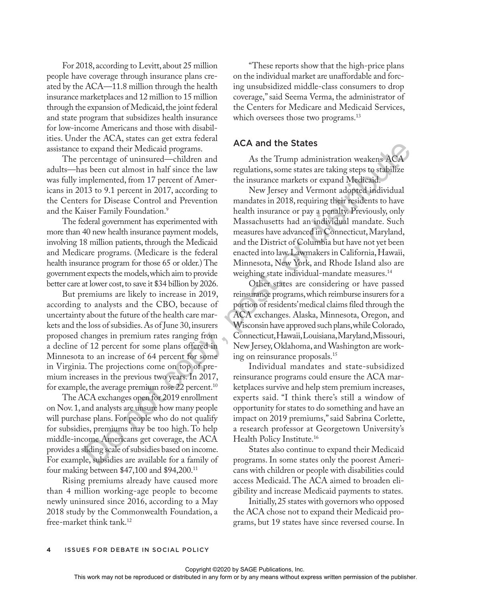For 2018, according to Levitt, about 25 million people have coverage through insurance plans created by the ACA—11.8 million through the health insurance marketplaces and 12 million to 15 million through the expansion of Medicaid, the joint federal and state program that subsidizes health insurance for low-income Americans and those with disabilities. Under the ACA, states can get extra federal assistance to expand their Medicaid programs.

The percentage of uninsured—children and adults—has been cut almost in half since the law was fully implemented, from 17 percent of Americans in 2013 to 9.1 percent in 2017, according to the Centers for Disease Control and Prevention and the Kaiser Family Foundation.<sup>9</sup>

The federal government has experimented with more than 40 new health insurance payment models, involving 18 million patients, through the Medicaid and Medicare programs. (Medicare is the federal health insurance program for those 65 or older.) The government expects the models, which aim to provide better care at lower cost, to save it \$34 billion by 2026.

But premiums are likely to increase in 2019, according to analysts and the CBO, because of uncertainty about the future of the health care markets and the loss of subsidies. As of June 30, insurers proposed changes in premium rates ranging from a decline of 12 percent for some plans offered in Minnesota to an increase of 64 percent for some in Virginia. The projections come on top of premium increases in the previous two years. In 2017, for example, the average premium rose  $22$  percent.<sup>10</sup>

The ACA exchanges open for 2019 enrollment on Nov. 1, and analysts are unsure how many people will purchase plans. For people who do not qualify for subsidies, premiums may be too high. To help middle-income Americans get coverage, the ACA provides a sliding scale of subsidies based on income. For example, subsidies are available for a family of four making between \$47,100 and \$94,200.11

Rising premiums already have caused more than 4 million working-age people to become newly uninsured since 2016, according to a May 2018 study by the Commonwealth Foundation, a free-market think tank.12

"These reports show that the high-price plans on the individual market are unaffordable and forcing unsubsidized middle-class consumers to drop coverage," said Seema Verma, the administrator of the Centers for Medicare and Medicaid Services, which oversees those two programs.<sup>13</sup>

## ACA and the States

As the Trump administration weakens ACA regulations, some states are taking steps to stabilize the insurance markets or expand Medicaid.

New Jersey and Vermont adopted individual mandates in 2018, requiring their residents to have health insurance or pay a penalty. Previously, only Massachusetts had an individual mandate. Such measures have advanced in Connecticut, Maryland, and the District of Columbia but have not yet been enacted into law. Lawmakers in California, Hawaii, Minnesota, New York, and Rhode Island also are weighing state individual-mandate measures.<sup>14</sup> o expand their Medicaid programs. ACA and the States<br>
evertentage of unimated-children and<br>
scheen cut almost in half since the law<br>
regulations, some states are taking steps to stabilize<br>
absolute and  $\sim$  the incural of

Other states are considering or have passed reinsurance programs, which reimburse insurers for a portion of residents' medical claims filed through the ACA exchanges. Alaska, Minnesota, Oregon, and Wisconsin have approved such plans, while Colorado, Connecticut, Hawaii, Louisiana, Maryland, Missouri, New Jersey, Oklahoma, and Washington are working on reinsurance proposals.15

Individual mandates and state-subsidized reinsurance programs could ensure the ACA marketplaces survive and help stem premium increases, experts said. "I think there's still a window of opportunity for states to do something and have an impact on 2019 premiums," said Sabrina Corlette, a research professor at Georgetown University's Health Policy Institute.16

States also continue to expand their Medicaid programs. In some states only the poorest Americans with children or people with disabilities could access Medicaid. The ACA aimed to broaden eligibility and increase Medicaid payments to states.

Initially, 25 states with governors who opposed the ACA chose not to expand their Medicaid programs, but 19 states have since reversed course. In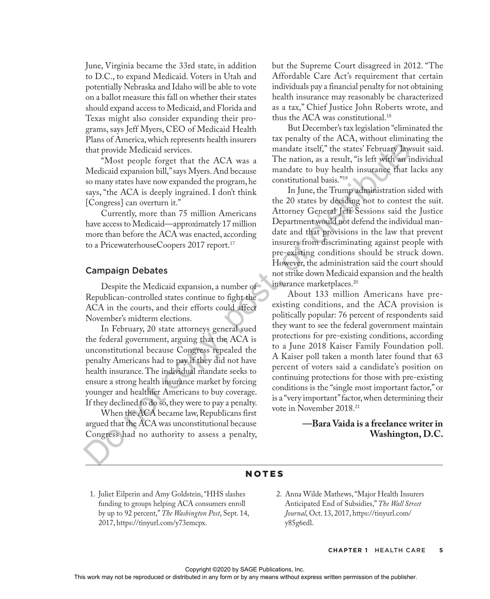June, Virginia became the 33rd state, in addition to D.C., to expand Medicaid. Voters in Utah and potentially Nebraska and Idaho will be able to vote on a ballot measure this fall on whether their states should expand access to Medicaid, and Florida and Texas might also consider expanding their programs, says Jeff Myers, CEO of Medicaid Health Plans of America, which represents health insurers that provide Medicaid services.

"Most people forget that the ACA was a Medicaid expansion bill," says Myers. And because so many states have now expanded the program, he says, "the ACA is deeply ingrained. I don't think [Congress] can overturn it."

Currently, more than 75 million Americans have access to Medicaid—approximately 17 million more than before the ACA was enacted, according to a PricewaterhouseCoopers 2017 report.<sup>17</sup>

#### Campaign Debates

Despite the Medicaid expansion, a number of Republican-controlled states continue to fight the ACA in the courts, and their efforts could affect November's midterm elections.

In February, 20 state attorneys general sued the federal government, arguing that the ACA is unconstitutional because Congress repealed the penalty Americans had to pay if they did not have health insurance. The individual mandate seeks to ensure a strong health insurance market by forcing younger and healthier Americans to buy coverage. If they declined to do so, they were to pay a penalty.

When the ACA became law, Republicans first argued that the ACA was unconstitutional because Congress had no authority to assess a penalty, but the Supreme Court disagreed in 2012. "The Affordable Care Act's requirement that certain individuals pay a financial penalty for not obtaining health insurance may reasonably be characterized as a tax," Chief Justice John Roberts wrote, and thus the ACA was constitutional.18

But December's tax legislation "eliminated the tax penalty of the ACA, without eliminating the mandate itself," the states' February lawsuit said. The nation, as a result, "is left with an individual mandate to buy health insurance that lacks any constitutional basis."19

In June, the Trump administration sided with the 20 states by deciding not to contest the suit. Attorney General Jeff Sessions said the Justice Department would not defend the individual mandate and that provisions in the law that prevent insurers from discriminating against people with pre-existing conditions should be struck down. However, the administration said the court should not strike down Medicaid expansion and the health insurance marketplaces.<sup>20</sup>

About 133 million Americans have preexisting conditions, and the ACA provision is politically popular: 76 percent of respondents said they want to see the federal government maintain protections for pre-existing conditions, according to a June 2018 Kaiser Family Foundation poll. A Kaiser poll taken a month later found that 63 percent of voters said a candidate's position on continuing protections for those with pre-existing conditions is the "single most important factor," or is a "very important" factor, when determining their vote in November 2018.21 For the state of the state of the state of the state of the state of the propis forger that the ACA was and the nation, as a result, "is left with an indicated copy the ACA is deeply ingrained. I don't this line and the s

## **—Bara Vaida is a freelance writer in Washington, D.C.**

## NOTES

- 1. Juliet Eilperin and Amy Goldstein, "HHS slashes funding to groups helping ACA consumers enroll by up to 92 percent," *The Washington Post*, Sept. 14, 2017, https://tinyurl.com/y73emcpx.
- 2. Anna Wilde Mathews, "Major Health Insurers Anticipated End of Subsidies," *The Wall Street Journal*, Oct. 13, 2017, https://tinyurl.com/ y85g6edl.